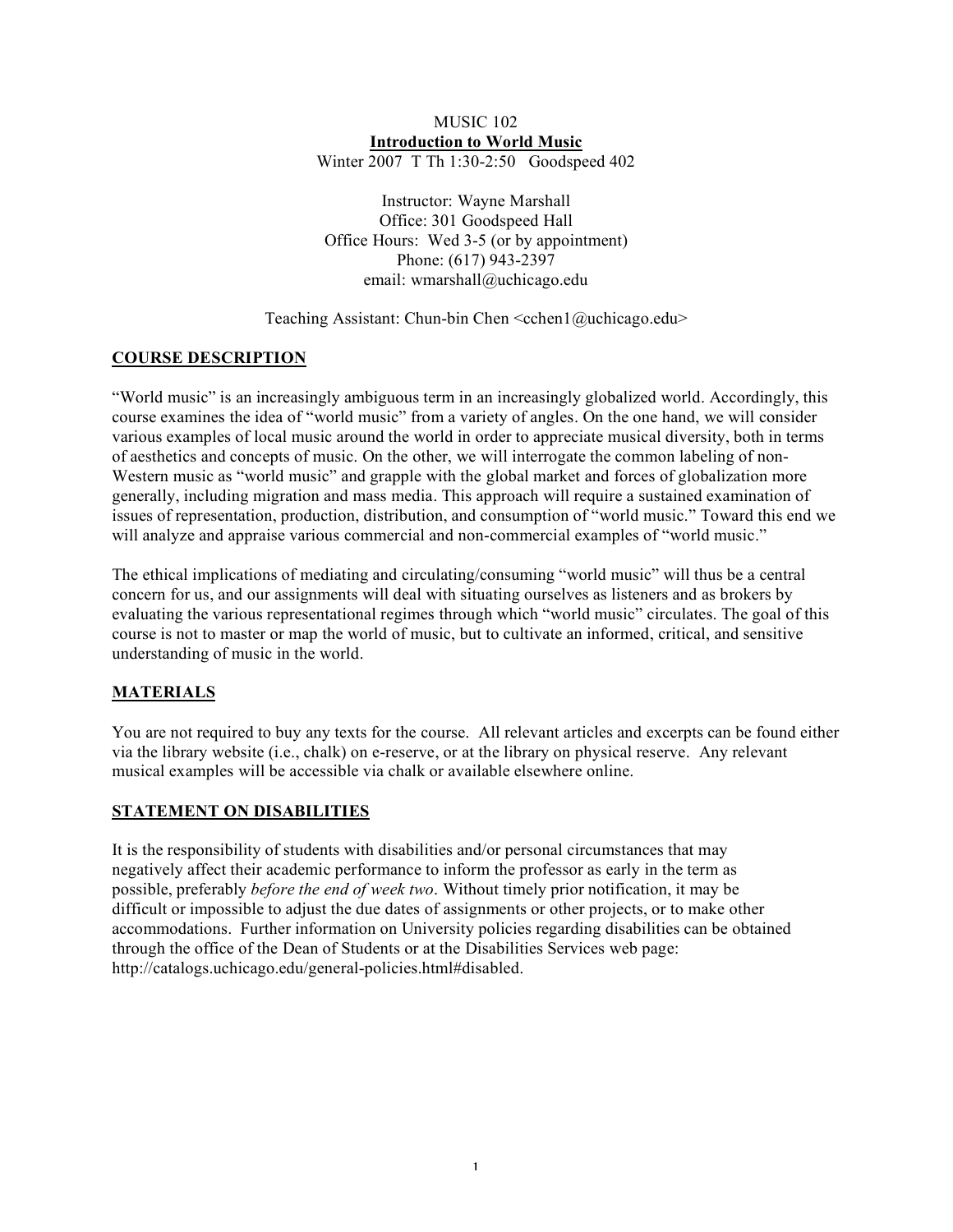## MUSIC 102 **Introduction to World Music** Winter 2007 T Th 1:30-2:50 Goodspeed 402

Instructor: Wayne Marshall Office: 301 Goodspeed Hall Office Hours: Wed 3-5 (or by appointment) Phone: (617) 943-2397 email: wmarshall@uchicago.edu

Teaching Assistant: Chun-bin Chen  $\leq$ cchen1@uchicago.edu>

# **COURSE DESCRIPTION**

"World music" is an increasingly ambiguous term in an increasingly globalized world. Accordingly, this course examines the idea of "world music" from a variety of angles. On the one hand, we will consider various examples of local music around the world in order to appreciate musical diversity, both in terms of aesthetics and concepts of music. On the other, we will interrogate the common labeling of non-Western music as "world music" and grapple with the global market and forces of globalization more generally, including migration and mass media. This approach will require a sustained examination of issues of representation, production, distribution, and consumption of "world music." Toward this end we will analyze and appraise various commercial and non-commercial examples of "world music."

The ethical implications of mediating and circulating/consuming "world music" will thus be a central concern for us, and our assignments will deal with situating ourselves as listeners and as brokers by evaluating the various representational regimes through which "world music" circulates. The goal of this course is not to master or map the world of music, but to cultivate an informed, critical, and sensitive understanding of music in the world.

# **MATERIALS**

You are not required to buy any texts for the course. All relevant articles and excerpts can be found either via the library website (i.e., chalk) on e-reserve, or at the library on physical reserve. Any relevant musical examples will be accessible via chalk or available elsewhere online.

# **STATEMENT ON DISABILITIES**

It is the responsibility of students with disabilities and/or personal circumstances that may negatively affect their academic performance to inform the professor as early in the term as possible, preferably *before the end of week two*. Without timely prior notification, it may be difficult or impossible to adjust the due dates of assignments or other projects, or to make other accommodations. Further information on University policies regarding disabilities can be obtained through the office of the Dean of Students or at the Disabilities Services web page: http://catalogs.uchicago.edu/general-policies.html#disabled.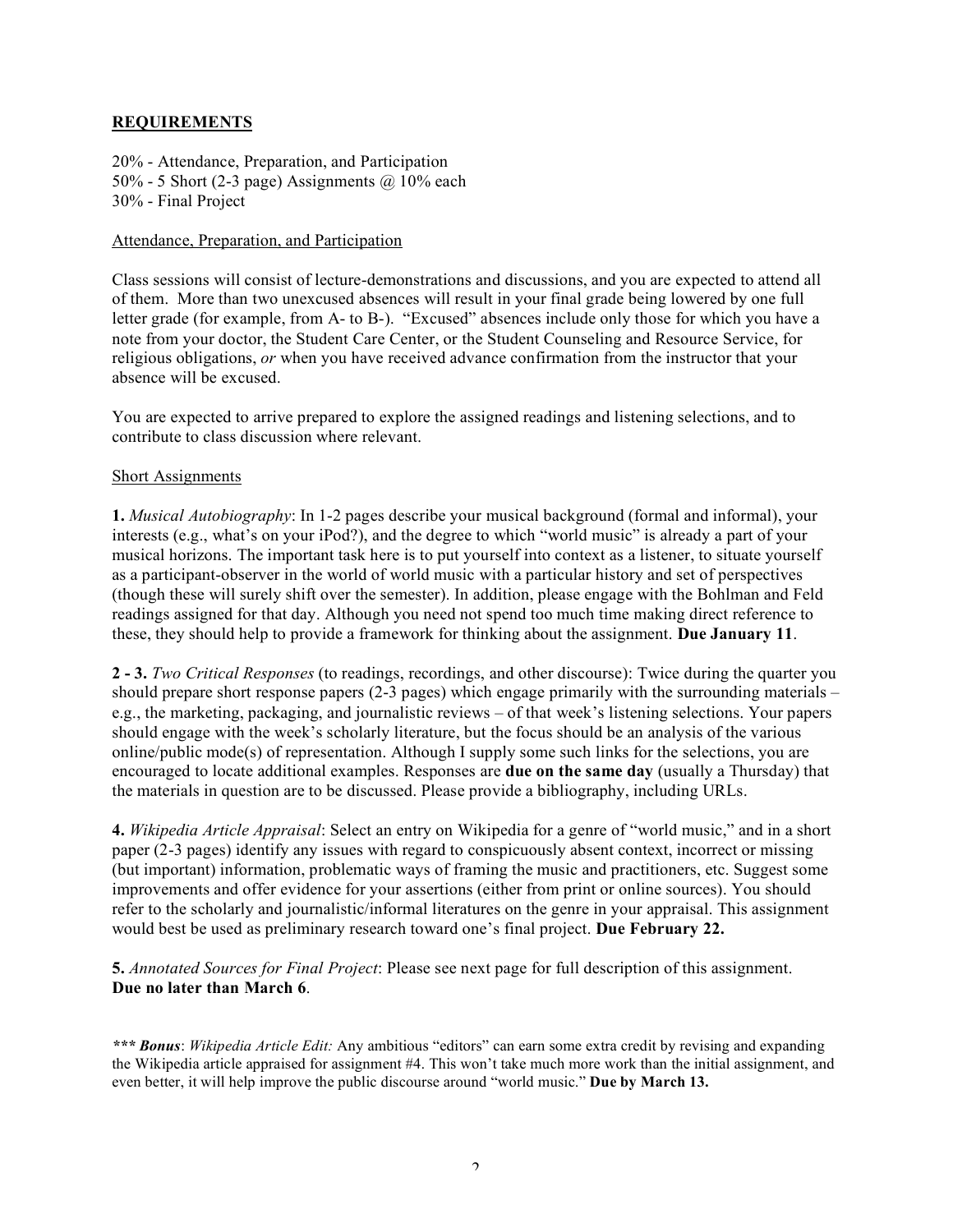# **REQUIREMENTS**

20% - Attendance, Preparation, and Participation 50% - 5 Short (2-3 page) Assignments  $\omega$  10% each 30% - Final Project

## Attendance, Preparation, and Participation

Class sessions will consist of lecture-demonstrations and discussions, and you are expected to attend all of them. More than two unexcused absences will result in your final grade being lowered by one full letter grade (for example, from A- to B-). "Excused" absences include only those for which you have a note from your doctor, the Student Care Center, or the Student Counseling and Resource Service, for religious obligations, *or* when you have received advance confirmation from the instructor that your absence will be excused.

You are expected to arrive prepared to explore the assigned readings and listening selections, and to contribute to class discussion where relevant.

# Short Assignments

**1.** *Musical Autobiography*: In 1-2 pages describe your musical background (formal and informal), your interests (e.g., what's on your iPod?), and the degree to which "world music" is already a part of your musical horizons. The important task here is to put yourself into context as a listener, to situate yourself as a participant-observer in the world of world music with a particular history and set of perspectives (though these will surely shift over the semester). In addition, please engage with the Bohlman and Feld readings assigned for that day. Although you need not spend too much time making direct reference to these, they should help to provide a framework for thinking about the assignment. **Due January 11**.

**2 - 3.** *Two Critical Responses* (to readings, recordings, and other discourse): Twice during the quarter you should prepare short response papers (2-3 pages) which engage primarily with the surrounding materials – e.g., the marketing, packaging, and journalistic reviews – of that week's listening selections. Your papers should engage with the week's scholarly literature, but the focus should be an analysis of the various online/public mode(s) of representation. Although I supply some such links for the selections, you are encouraged to locate additional examples. Responses are **due on the same day** (usually a Thursday) that the materials in question are to be discussed. Please provide a bibliography, including URLs.

**4.** *Wikipedia Article Appraisal*: Select an entry on Wikipedia for a genre of "world music," and in a short paper (2-3 pages) identify any issues with regard to conspicuously absent context, incorrect or missing (but important) information, problematic ways of framing the music and practitioners, etc. Suggest some improvements and offer evidence for your assertions (either from print or online sources). You should refer to the scholarly and journalistic/informal literatures on the genre in your appraisal. This assignment would best be used as preliminary research toward one's final project. **Due February 22.**

**5.** *Annotated Sources for Final Project*: Please see next page for full description of this assignment. **Due no later than March 6**.

*\*\*\* Bonus*: *Wikipedia Article Edit:* Any ambitious "editors" can earn some extra credit by revising and expanding the Wikipedia article appraised for assignment #4. This won't take much more work than the initial assignment, and even better, it will help improve the public discourse around "world music." **Due by March 13.**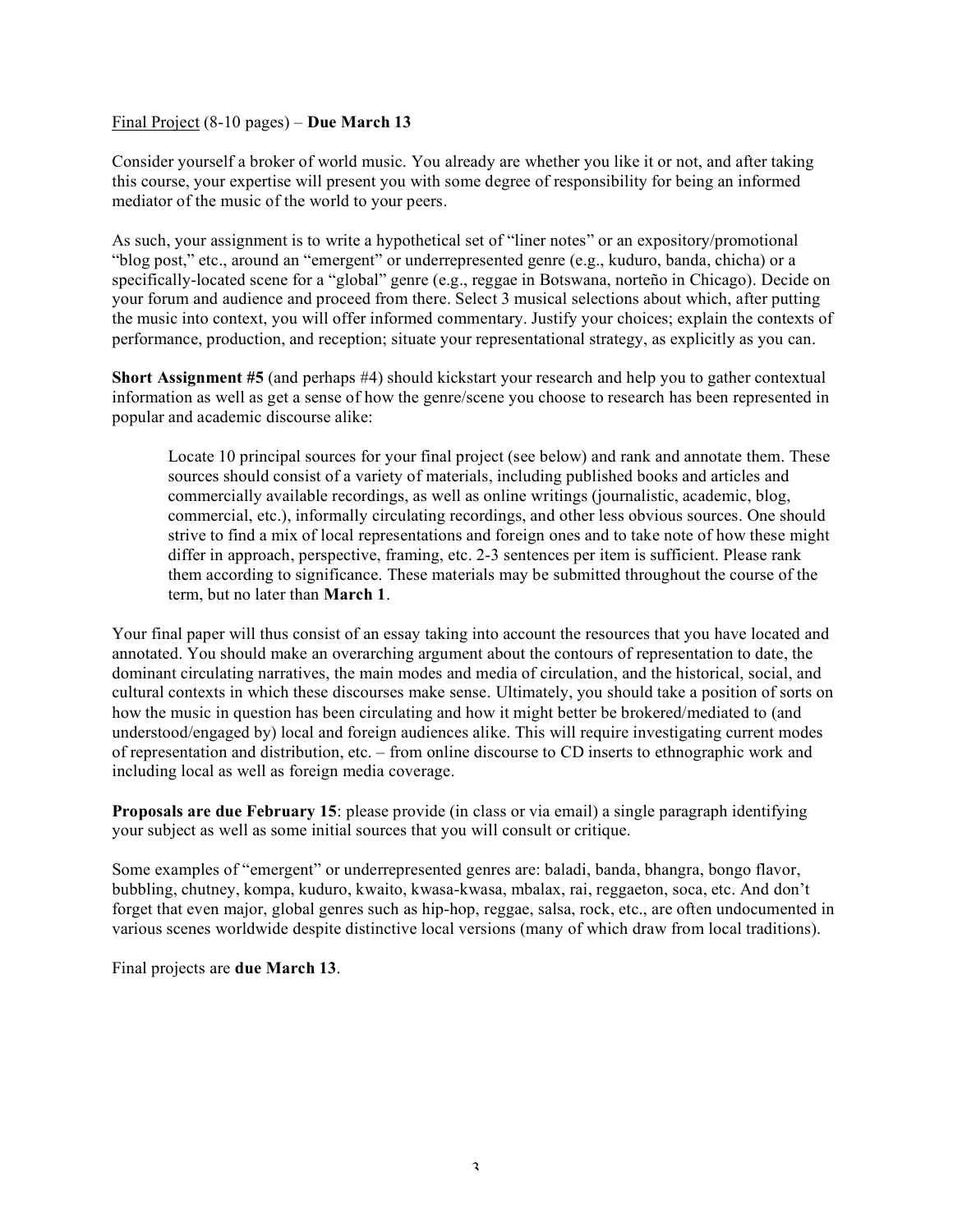## Final Project (8-10 pages) – **Due March 13**

Consider yourself a broker of world music. You already are whether you like it or not, and after taking this course, your expertise will present you with some degree of responsibility for being an informed mediator of the music of the world to your peers.

As such, your assignment is to write a hypothetical set of "liner notes" or an expository/promotional "blog post," etc., around an "emergent" or underrepresented genre (e.g., kuduro, banda, chicha) or a specifically-located scene for a "global" genre (e.g., reggae in Botswana, norteño in Chicago). Decide on your forum and audience and proceed from there. Select 3 musical selections about which, after putting the music into context, you will offer informed commentary. Justify your choices; explain the contexts of performance, production, and reception; situate your representational strategy, as explicitly as you can.

**Short Assignment #5** (and perhaps #4) should kickstart your research and help you to gather contextual information as well as get a sense of how the genre/scene you choose to research has been represented in popular and academic discourse alike:

Locate 10 principal sources for your final project (see below) and rank and annotate them. These sources should consist of a variety of materials, including published books and articles and commercially available recordings, as well as online writings (journalistic, academic, blog, commercial, etc.), informally circulating recordings, and other less obvious sources. One should strive to find a mix of local representations and foreign ones and to take note of how these might differ in approach, perspective, framing, etc. 2-3 sentences per item is sufficient. Please rank them according to significance. These materials may be submitted throughout the course of the term, but no later than **March 1**.

Your final paper will thus consist of an essay taking into account the resources that you have located and annotated. You should make an overarching argument about the contours of representation to date, the dominant circulating narratives, the main modes and media of circulation, and the historical, social, and cultural contexts in which these discourses make sense. Ultimately, you should take a position of sorts on how the music in question has been circulating and how it might better be brokered/mediated to (and understood/engaged by) local and foreign audiences alike. This will require investigating current modes of representation and distribution, etc. – from online discourse to CD inserts to ethnographic work and including local as well as foreign media coverage.

**Proposals are due February 15**: please provide (in class or via email) a single paragraph identifying your subject as well as some initial sources that you will consult or critique.

Some examples of "emergent" or underrepresented genres are: baladi, banda, bhangra, bongo flavor, bubbling, chutney, kompa, kuduro, kwaito, kwasa-kwasa, mbalax, rai, reggaeton, soca, etc. And don't forget that even major, global genres such as hip-hop, reggae, salsa, rock, etc., are often undocumented in various scenes worldwide despite distinctive local versions (many of which draw from local traditions).

Final projects are **due March 13**.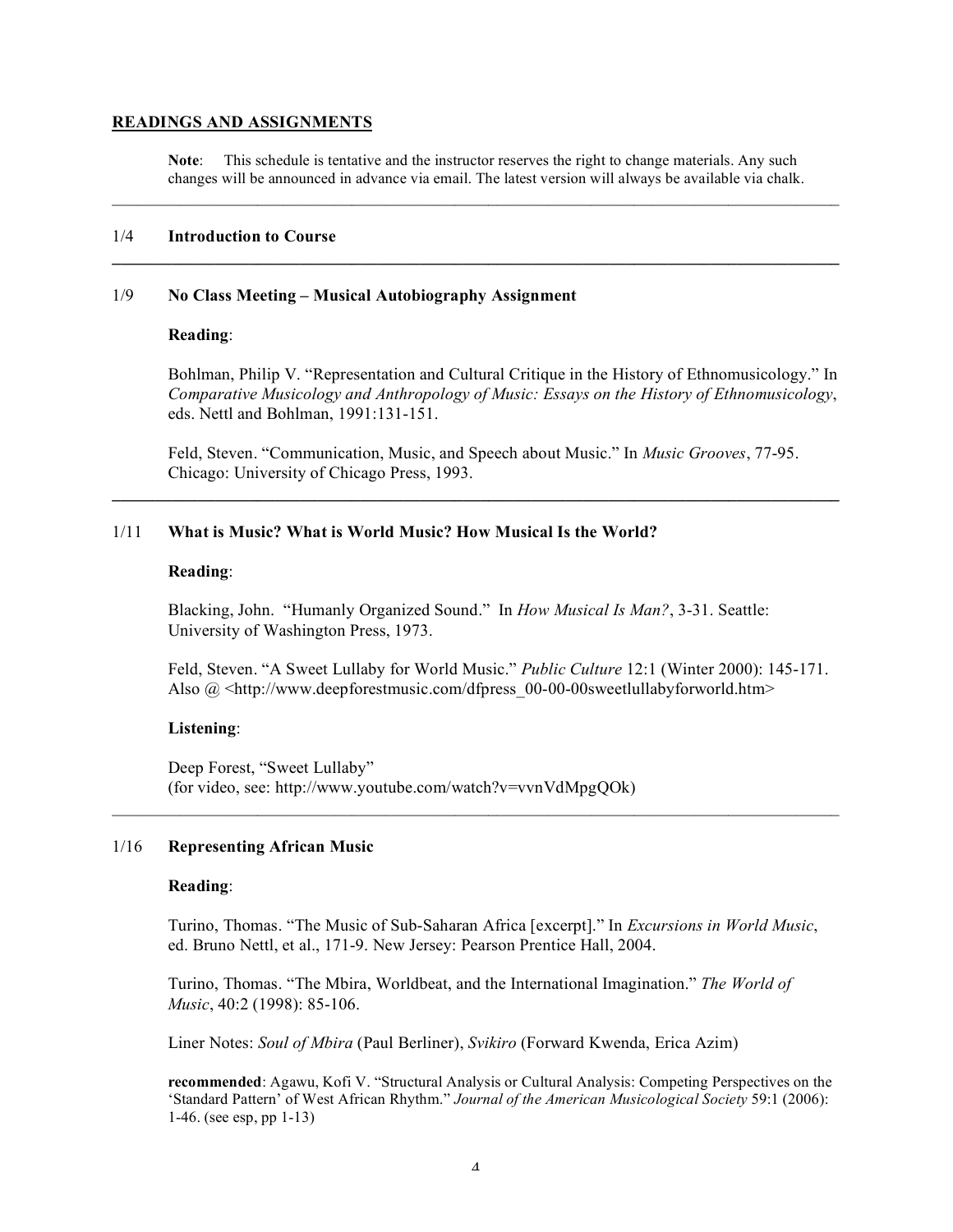#### **READINGS AND ASSIGNMENTS**

**Note**: This schedule is tentative and the instructor reserves the right to change materials. Any such changes will be announced in advance via email. The latest version will always be available via chalk.

 $\mathcal{L}_\text{max} = \mathcal{L}_\text{max} = \mathcal{L}_\text{max} = \mathcal{L}_\text{max} = \mathcal{L}_\text{max} = \mathcal{L}_\text{max} = \mathcal{L}_\text{max} = \mathcal{L}_\text{max} = \mathcal{L}_\text{max} = \mathcal{L}_\text{max} = \mathcal{L}_\text{max} = \mathcal{L}_\text{max} = \mathcal{L}_\text{max} = \mathcal{L}_\text{max} = \mathcal{L}_\text{max} = \mathcal{L}_\text{max} = \mathcal{L}_\text{max} = \mathcal{L}_\text{max} = \mathcal{$ 

**\_\_\_\_\_\_\_\_\_\_\_\_\_\_\_\_\_\_\_\_\_\_\_\_\_\_\_\_\_\_\_\_\_\_\_\_\_\_\_\_\_\_\_\_\_\_\_\_\_\_\_\_\_\_\_\_\_\_\_\_\_\_\_\_\_\_\_\_\_\_\_\_\_\_\_\_\_\_\_\_\_\_\_\_\_**

#### 1/4 **Introduction to Course**

#### 1/9 **No Class Meeting – Musical Autobiography Assignment**

### **Reading**:

Bohlman, Philip V. "Representation and Cultural Critique in the History of Ethnomusicology." In *Comparative Musicology and Anthropology of Music: Essays on the History of Ethnomusicology*, eds. Nettl and Bohlman, 1991:131-151.

Feld, Steven. "Communication, Music, and Speech about Music." In *Music Grooves*, 77-95. Chicago: University of Chicago Press, 1993.

**\_\_\_\_\_\_\_\_\_\_\_\_\_\_\_\_\_\_\_\_\_\_\_\_\_\_\_\_\_\_\_\_\_\_\_\_\_\_\_\_\_\_\_\_\_\_\_\_\_\_\_\_\_\_\_\_\_\_\_\_\_\_\_\_\_\_\_\_\_\_\_\_\_\_\_\_\_\_\_\_\_\_\_\_\_**

## 1/11 **What is Music? What is World Music? How Musical Is the World?**

#### **Reading**:

Blacking, John. "Humanly Organized Sound." In *How Musical Is Man?*, 3-31. Seattle: University of Washington Press, 1973.

Feld, Steven. "A Sweet Lullaby for World Music." *Public Culture* 12:1 (Winter 2000): 145-171. Also  $\omega$  <http://www.deepforestmusic.com/dfpress 00-00-00sweetlullabyforworld.htm>

#### **Listening**:

Deep Forest, "Sweet Lullaby" (for video, see: http://www.youtube.com/watch?v=vvnVdMpgQOk)

#### 1/16 **Representing African Music**

#### **Reading**:

Turino, Thomas. "The Music of Sub-Saharan Africa [excerpt]." In *Excursions in World Music*, ed. Bruno Nettl, et al., 171-9. New Jersey: Pearson Prentice Hall, 2004.

Turino, Thomas. "The Mbira, Worldbeat, and the International Imagination." *The World of Music*, 40:2 (1998): 85-106.

Liner Notes: *Soul of Mbira* (Paul Berliner), *Svikiro* (Forward Kwenda, Erica Azim)

**recommended**: Agawu, Kofi V. "Structural Analysis or Cultural Analysis: Competing Perspectives on the 'Standard Pattern' of West African Rhythm." *Journal of the American Musicological Society* 59:1 (2006): 1-46. (see esp, pp 1-13)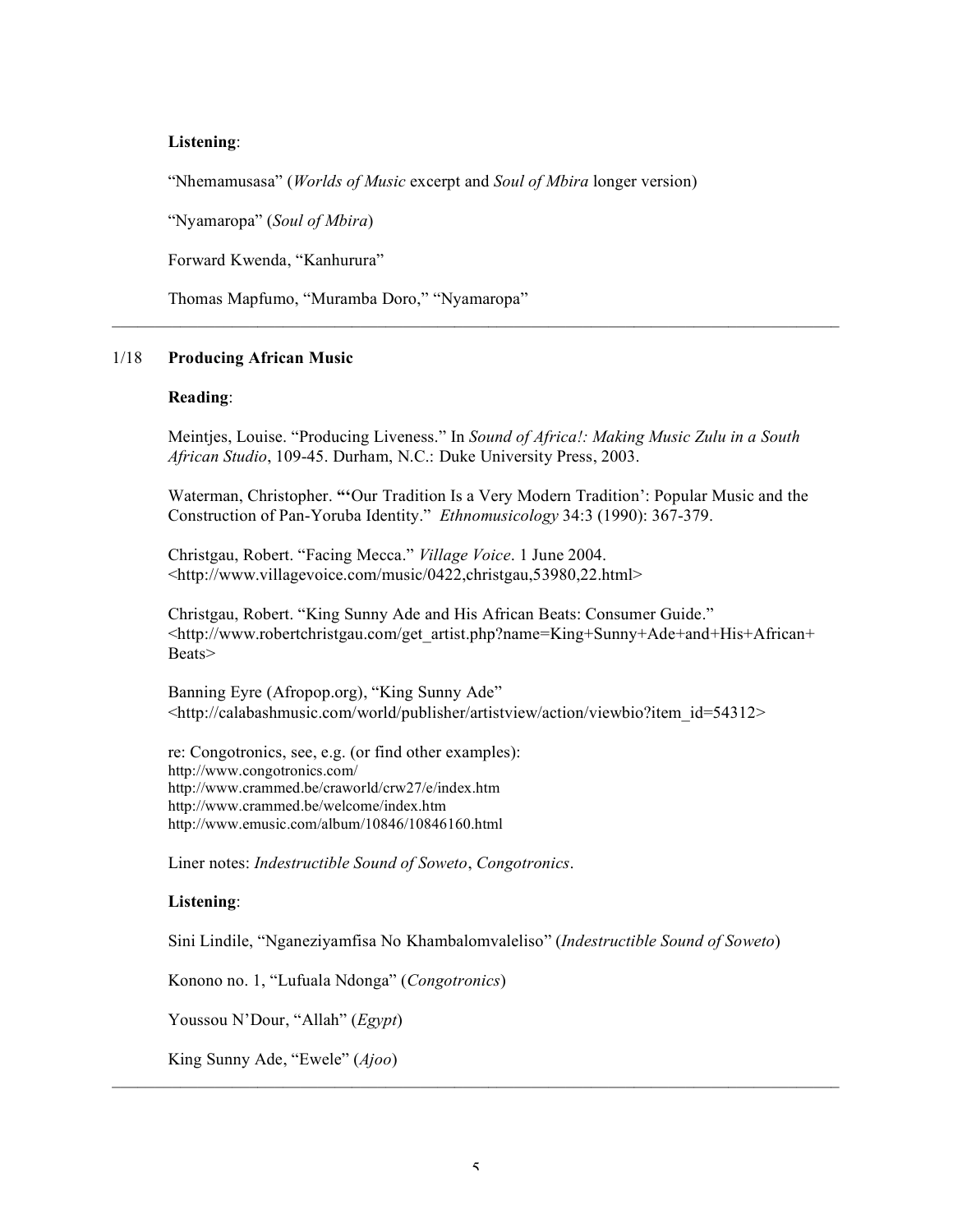### **Listening**:

"Nhemamusasa" (*Worlds of Music* excerpt and *Soul of Mbira* longer version)

"Nyamaropa" (*Soul of Mbira*)

Forward Kwenda, "Kanhurura"

Thomas Mapfumo, "Muramba Doro," "Nyamaropa"

## 1/18 **Producing African Music**

#### **Reading**:

Meintjes, Louise. "Producing Liveness." In *Sound of Africa!: Making Music Zulu in a South African Studio*, 109-45. Durham, N.C.: Duke University Press, 2003.

 $\mathcal{L}_\text{max} = \mathcal{L}_\text{max} = \mathcal{L}_\text{max} = \mathcal{L}_\text{max} = \mathcal{L}_\text{max} = \mathcal{L}_\text{max} = \mathcal{L}_\text{max} = \mathcal{L}_\text{max} = \mathcal{L}_\text{max} = \mathcal{L}_\text{max} = \mathcal{L}_\text{max} = \mathcal{L}_\text{max} = \mathcal{L}_\text{max} = \mathcal{L}_\text{max} = \mathcal{L}_\text{max} = \mathcal{L}_\text{max} = \mathcal{L}_\text{max} = \mathcal{L}_\text{max} = \mathcal{$ 

Waterman, Christopher. **"'**Our Tradition Is a Very Modern Tradition': Popular Music and the Construction of Pan-Yoruba Identity." *Ethnomusicology* 34:3 (1990): 367-379.

Christgau, Robert. "Facing Mecca." *Village Voice*. 1 June 2004. <http://www.villagevoice.com/music/0422,christgau,53980,22.html>

Christgau, Robert. "King Sunny Ade and His African Beats: Consumer Guide." <http://www.robertchristgau.com/get\_artist.php?name=King+Sunny+Ade+and+His+African+ Beats>

Banning Eyre (Afropop.org), "King Sunny Ade" <http://calabashmusic.com/world/publisher/artistview/action/viewbio?item\_id=54312>

re: Congotronics, see, e.g. (or find other examples): http://www.congotronics.com/ http://www.crammed.be/craworld/crw27/e/index.htm http://www.crammed.be/welcome/index.htm http://www.emusic.com/album/10846/10846160.html

Liner notes: *Indestructible Sound of Soweto*, *Congotronics*.

### **Listening**:

Sini Lindile, "Nganeziyamfisa No Khambalomvaleliso" (*Indestructible Sound of Soweto*)

Konono no. 1, "Lufuala Ndonga" (*Congotronics*)

Youssou N'Dour, "Allah" (*Egypt*)

King Sunny Ade, "Ewele" (*Ajoo*)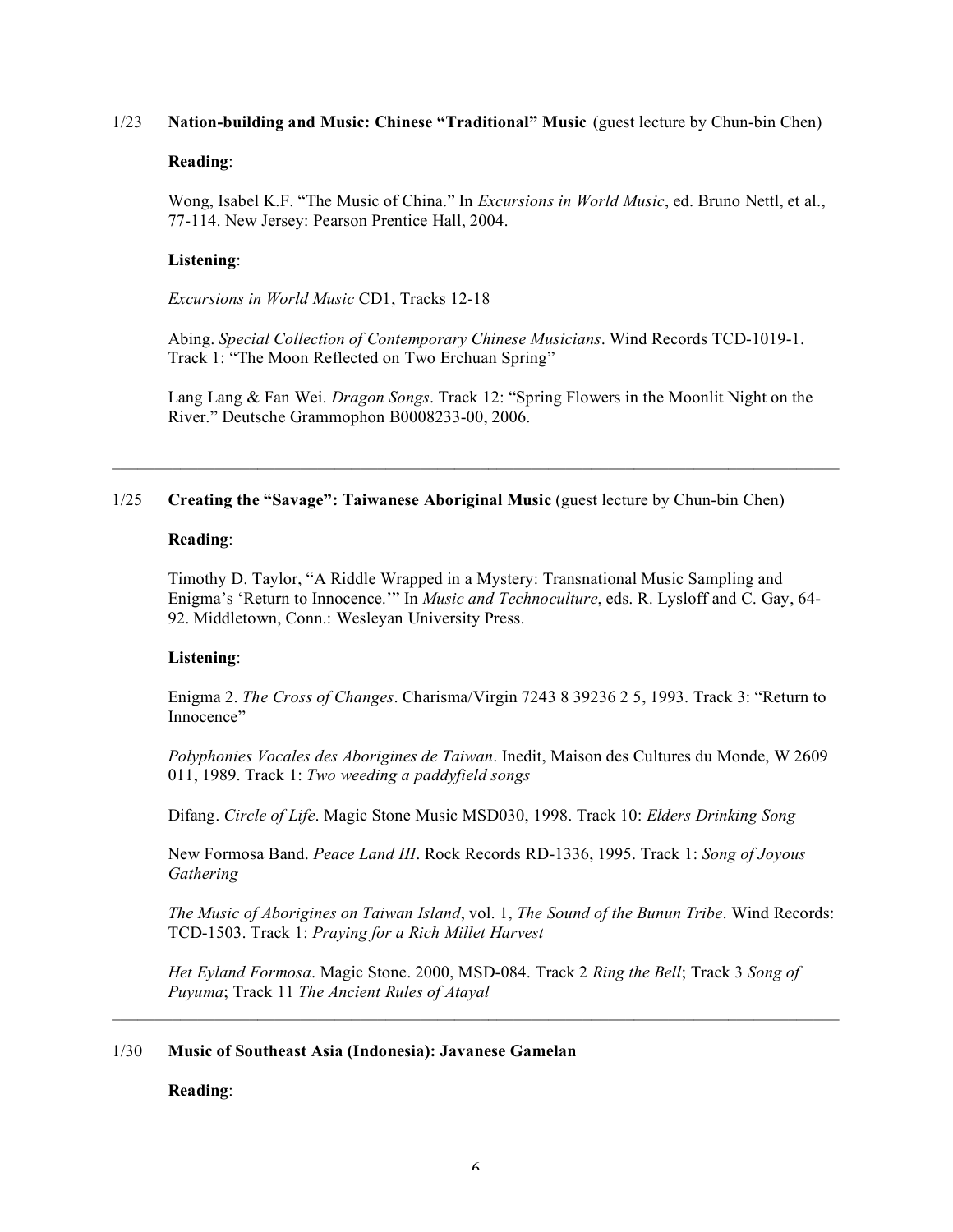## 1/23 **Nation-building and Music: Chinese "Traditional" Music** (guest lecture by Chun-bin Chen)

### **Reading**:

Wong, Isabel K.F. "The Music of China." In *Excursions in World Music*, ed. Bruno Nettl, et al., 77-114. New Jersey: Pearson Prentice Hall, 2004.

## **Listening**:

*Excursions in World Music* CD1, Tracks 12-18

Abing. *Special Collection of Contemporary Chinese Musicians*. Wind Records TCD-1019-1. Track 1: "The Moon Reflected on Two Erchuan Spring"

Lang Lang & Fan Wei. *Dragon Songs*. Track 12: "Spring Flowers in the Moonlit Night on the River." Deutsche Grammophon B0008233-00, 2006.

# 1/25 **Creating the "Savage": Taiwanese Aboriginal Music** (guest lecture by Chun-bin Chen)

## **Reading**:

Timothy D. Taylor, "A Riddle Wrapped in a Mystery: Transnational Music Sampling and Enigma's 'Return to Innocence.'" In *Music and Technoculture*, eds. R. Lysloff and C. Gay, 64- 92. Middletown, Conn.: Wesleyan University Press.

# **Listening**:

Enigma 2. *The Cross of Changes*. Charisma/Virgin 7243 8 39236 2 5, 1993. Track 3: "Return to Innocence"

*Polyphonies Vocales des Aborigines de Taiwan*. Inedit, Maison des Cultures du Monde, W 2609 011, 1989. Track 1: *Two weeding a paddyfield songs*

Difang. *Circle of Life*. Magic Stone Music MSD030, 1998. Track 10: *Elders Drinking Song*

New Formosa Band. *Peace Land III*. Rock Records RD-1336, 1995. Track 1: *Song of Joyous Gathering*

*The Music of Aborigines on Taiwan Island*, vol. 1, *The Sound of the Bunun Tribe*. Wind Records: TCD-1503. Track 1: *Praying for a Rich Millet Harvest*

*Het Eyland Formosa*. Magic Stone. 2000, MSD-084. Track 2 *Ring the Bell*; Track 3 *Song of Puyuma*; Track 11 *The Ancient Rules of Atayal*

 $\mathcal{L}_\text{max} = \mathcal{L}_\text{max} = \mathcal{L}_\text{max} = \mathcal{L}_\text{max} = \mathcal{L}_\text{max} = \mathcal{L}_\text{max} = \mathcal{L}_\text{max} = \mathcal{L}_\text{max} = \mathcal{L}_\text{max} = \mathcal{L}_\text{max} = \mathcal{L}_\text{max} = \mathcal{L}_\text{max} = \mathcal{L}_\text{max} = \mathcal{L}_\text{max} = \mathcal{L}_\text{max} = \mathcal{L}_\text{max} = \mathcal{L}_\text{max} = \mathcal{L}_\text{max} = \mathcal{$ 

### 1/30 **Music of Southeast Asia (Indonesia): Javanese Gamelan**

**Reading**: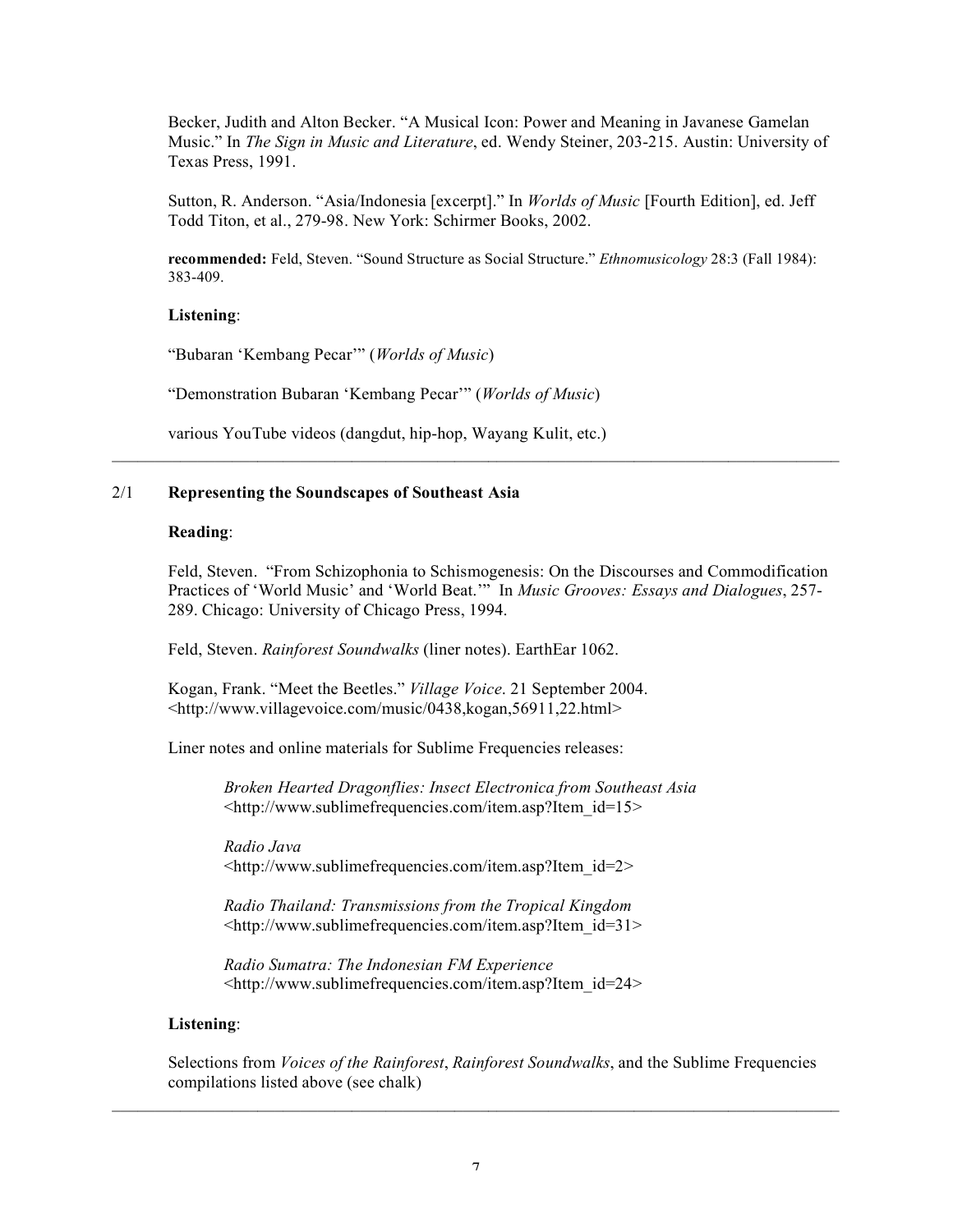Becker, Judith and Alton Becker. "A Musical Icon: Power and Meaning in Javanese Gamelan Music." In *The Sign in Music and Literature*, ed. Wendy Steiner, 203-215. Austin: University of Texas Press, 1991.

Sutton, R. Anderson. "Asia/Indonesia [excerpt]." In *Worlds of Music* [Fourth Edition], ed. Jeff Todd Titon, et al., 279-98. New York: Schirmer Books, 2002.

**recommended:** Feld, Steven. "Sound Structure as Social Structure." *Ethnomusicology* 28:3 (Fall 1984): 383-409.

## **Listening**:

"Bubaran 'Kembang Pecar'" (*Worlds of Music*)

"Demonstration Bubaran 'Kembang Pecar'" (*Worlds of Music*)

various YouTube videos (dangdut, hip-hop, Wayang Kulit, etc.)

## 2/1 **Representing the Soundscapes of Southeast Asia**

### **Reading**:

Feld, Steven. "From Schizophonia to Schismogenesis: On the Discourses and Commodification Practices of 'World Music' and 'World Beat.'" In *Music Grooves: Essays and Dialogues*, 257- 289. Chicago: University of Chicago Press, 1994.

 $\mathcal{L}_\text{max} = \mathcal{L}_\text{max} = \mathcal{L}_\text{max} = \mathcal{L}_\text{max} = \mathcal{L}_\text{max} = \mathcal{L}_\text{max} = \mathcal{L}_\text{max} = \mathcal{L}_\text{max} = \mathcal{L}_\text{max} = \mathcal{L}_\text{max} = \mathcal{L}_\text{max} = \mathcal{L}_\text{max} = \mathcal{L}_\text{max} = \mathcal{L}_\text{max} = \mathcal{L}_\text{max} = \mathcal{L}_\text{max} = \mathcal{L}_\text{max} = \mathcal{L}_\text{max} = \mathcal{$ 

Feld, Steven. *Rainforest Soundwalks* (liner notes). EarthEar 1062.

Kogan, Frank. "Meet the Beetles." *Village Voice*. 21 September 2004. <http://www.villagevoice.com/music/0438,kogan,56911,22.html>

Liner notes and online materials for Sublime Frequencies releases:

*Broken Hearted Dragonflies: Insect Electronica from Southeast Asia* <http://www.sublimefrequencies.com/item.asp?Item\_id=15>

*Radio Java* <http://www.sublimefrequencies.com/item.asp?Item\_id=2>

*Radio Thailand: Transmissions from the Tropical Kingdom* <http://www.sublimefrequencies.com/item.asp?Item\_id=31>

*Radio Sumatra: The Indonesian FM Experience* <http://www.sublimefrequencies.com/item.asp?Item\_id=24>

### **Listening**:

Selections from *Voices of the Rainforest*, *Rainforest Soundwalks*, and the Sublime Frequencies compilations listed above (see chalk)

 $\mathcal{L}_\text{max} = \mathcal{L}_\text{max} = \mathcal{L}_\text{max} = \mathcal{L}_\text{max} = \mathcal{L}_\text{max} = \mathcal{L}_\text{max} = \mathcal{L}_\text{max} = \mathcal{L}_\text{max} = \mathcal{L}_\text{max} = \mathcal{L}_\text{max} = \mathcal{L}_\text{max} = \mathcal{L}_\text{max} = \mathcal{L}_\text{max} = \mathcal{L}_\text{max} = \mathcal{L}_\text{max} = \mathcal{L}_\text{max} = \mathcal{L}_\text{max} = \mathcal{L}_\text{max} = \mathcal{$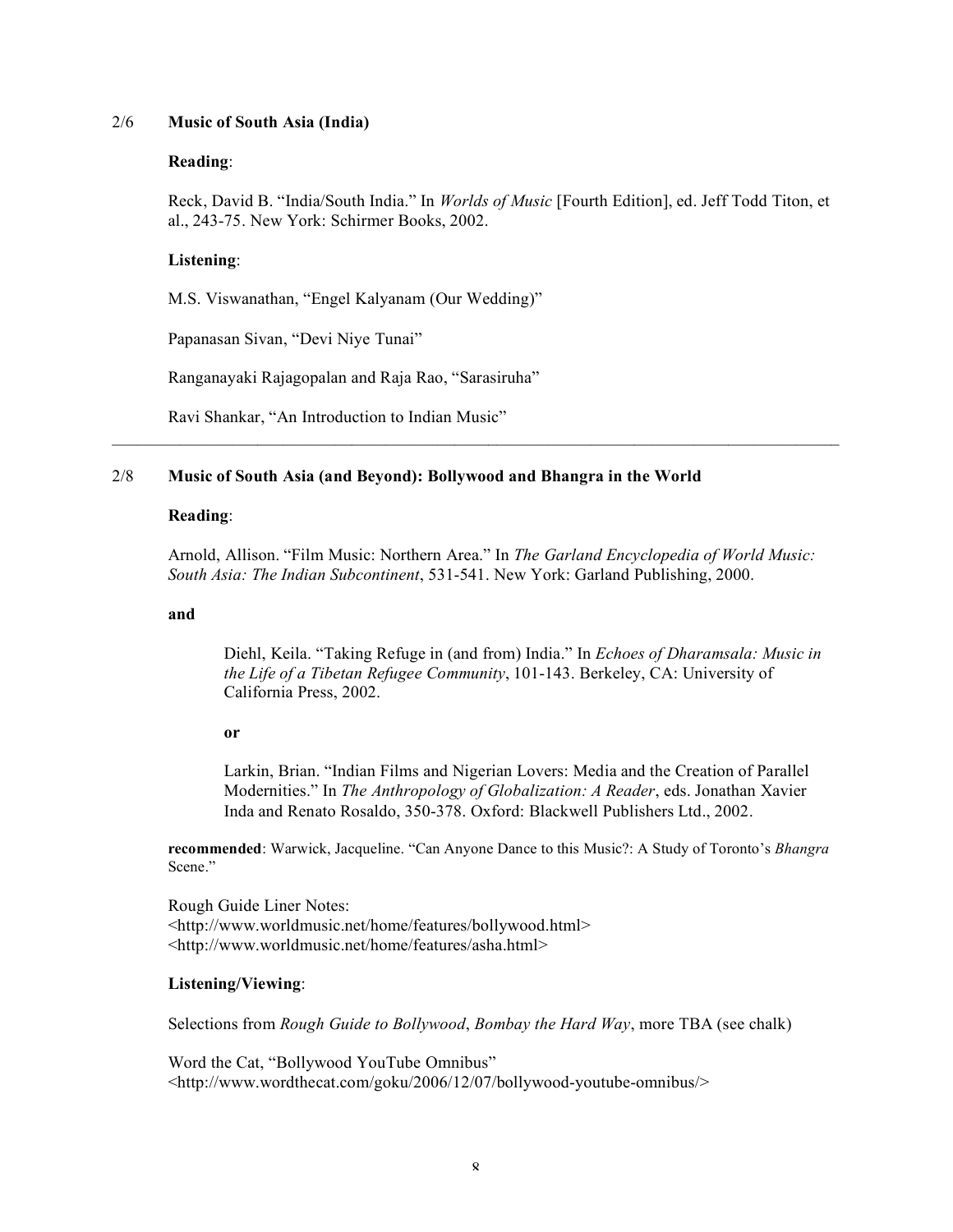## 2/6 **Music of South Asia (India)**

### **Reading**:

Reck, David B. "India/South India." In *Worlds of Music* [Fourth Edition], ed. Jeff Todd Titon, et al., 243-75. New York: Schirmer Books, 2002.

## **Listening**:

M.S. Viswanathan, "Engel Kalyanam (Our Wedding)"

Papanasan Sivan, "Devi Niye Tunai"

Ranganayaki Rajagopalan and Raja Rao, "Sarasiruha"

Ravi Shankar, "An Introduction to Indian Music"

# 2/8 **Music of South Asia (and Beyond): Bollywood and Bhangra in the World**

### **Reading**:

Arnold, Allison. "Film Music: Northern Area." In *The Garland Encyclopedia of World Music: South Asia: The Indian Subcontinent*, 531-541. New York: Garland Publishing, 2000.

 $\mathcal{L}_\text{max}$  , and the contribution of the contribution of the contribution of the contribution of the contribution of the contribution of the contribution of the contribution of the contribution of the contribution of t

#### **and**

Diehl, Keila. "Taking Refuge in (and from) India." In *Echoes of Dharamsala: Music in the Life of a Tibetan Refugee Community*, 101-143. Berkeley, CA: University of California Press, 2002.

### **or**

Larkin, Brian. "Indian Films and Nigerian Lovers: Media and the Creation of Parallel Modernities." In *The Anthropology of Globalization: A Reader*, eds. Jonathan Xavier Inda and Renato Rosaldo, 350-378. Oxford: Blackwell Publishers Ltd., 2002.

**recommended**: Warwick, Jacqueline. "Can Anyone Dance to this Music?: A Study of Toronto's *Bhangra* Scene."

Rough Guide Liner Notes: <http://www.worldmusic.net/home/features/bollywood.html> <http://www.worldmusic.net/home/features/asha.html>

### **Listening/Viewing**:

Selections from *Rough Guide to Bollywood*, *Bombay the Hard Way*, more TBA (see chalk)

Word the Cat, "Bollywood YouTube Omnibus" <http://www.wordthecat.com/goku/2006/12/07/bollywood-youtube-omnibus/>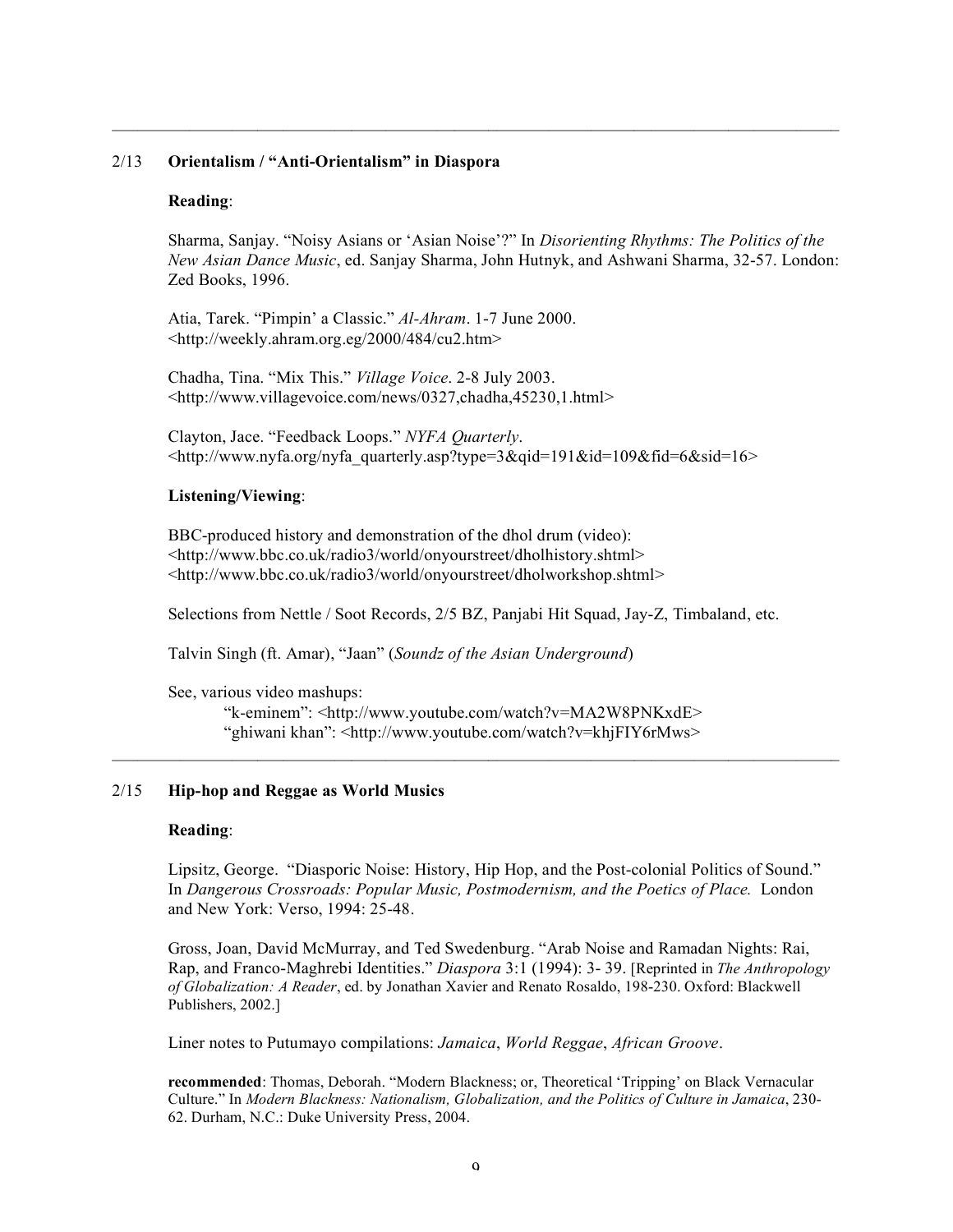#### 2/13 **Orientalism / "Anti-Orientalism" in Diaspora**

#### **Reading**:

Sharma, Sanjay. "Noisy Asians or 'Asian Noise'?" In *Disorienting Rhythms: The Politics of the New Asian Dance Music*, ed. Sanjay Sharma, John Hutnyk, and Ashwani Sharma, 32-57. London: Zed Books, 1996.

 $\mathcal{L}_\text{max} = \mathcal{L}_\text{max} = \mathcal{L}_\text{max} = \mathcal{L}_\text{max} = \mathcal{L}_\text{max} = \mathcal{L}_\text{max} = \mathcal{L}_\text{max} = \mathcal{L}_\text{max} = \mathcal{L}_\text{max} = \mathcal{L}_\text{max} = \mathcal{L}_\text{max} = \mathcal{L}_\text{max} = \mathcal{L}_\text{max} = \mathcal{L}_\text{max} = \mathcal{L}_\text{max} = \mathcal{L}_\text{max} = \mathcal{L}_\text{max} = \mathcal{L}_\text{max} = \mathcal{$ 

Atia, Tarek. "Pimpin' a Classic." *Al-Ahram*. 1-7 June 2000. <http://weekly.ahram.org.eg/2000/484/cu2.htm>

Chadha, Tina. "Mix This." *Village Voice*. 2-8 July 2003. <http://www.villagevoice.com/news/0327,chadha,45230,1.html>

Clayton, Jace. "Feedback Loops." *NYFA Quarterly*. <http://www.nyfa.org/nyfa\_quarterly.asp?type=3&qid=191&id=109&fid=6&sid=16>

#### **Listening/Viewing**:

BBC-produced history and demonstration of the dhol drum (video): <http://www.bbc.co.uk/radio3/world/onyourstreet/dholhistory.shtml> <http://www.bbc.co.uk/radio3/world/onyourstreet/dholworkshop.shtml>

Selections from Nettle / Soot Records, 2/5 BZ, Panjabi Hit Squad, Jay-Z, Timbaland, etc.

 $\mathcal{L}_\text{max} = \mathcal{L}_\text{max} = \mathcal{L}_\text{max} = \mathcal{L}_\text{max} = \mathcal{L}_\text{max} = \mathcal{L}_\text{max} = \mathcal{L}_\text{max} = \mathcal{L}_\text{max} = \mathcal{L}_\text{max} = \mathcal{L}_\text{max} = \mathcal{L}_\text{max} = \mathcal{L}_\text{max} = \mathcal{L}_\text{max} = \mathcal{L}_\text{max} = \mathcal{L}_\text{max} = \mathcal{L}_\text{max} = \mathcal{L}_\text{max} = \mathcal{L}_\text{max} = \mathcal{$ 

Talvin Singh (ft. Amar), "Jaan" (*Soundz of the Asian Underground*)

See, various video mashups: "k-eminem": <http://www.youtube.com/watch?v=MA2W8PNKxdE> "ghiwani khan": <http://www.youtube.com/watch?v=khjFIY6rMws>

### 2/15 **Hip-hop and Reggae as World Musics**

#### **Reading**:

Lipsitz, George. "Diasporic Noise: History, Hip Hop, and the Post-colonial Politics of Sound." In *Dangerous Crossroads: Popular Music, Postmodernism, and the Poetics of Place.* London and New York: Verso, 1994: 25-48.

Gross, Joan, David McMurray, and Ted Swedenburg. "Arab Noise and Ramadan Nights: Rai, Rap, and Franco-Maghrebi Identities." *Diaspora* 3:1 (1994): 3- 39. [Reprinted in *The Anthropology of Globalization: A Reader*, ed. by Jonathan Xavier and Renato Rosaldo, 198-230. Oxford: Blackwell Publishers, 2002.]

Liner notes to Putumayo compilations: *Jamaica*, *World Reggae*, *African Groove*.

**recommended**: Thomas, Deborah. "Modern Blackness; or, Theoretical 'Tripping' on Black Vernacular Culture." In *Modern Blackness: Nationalism, Globalization, and the Politics of Culture in Jamaica*, 230- 62. Durham, N.C.: Duke University Press, 2004.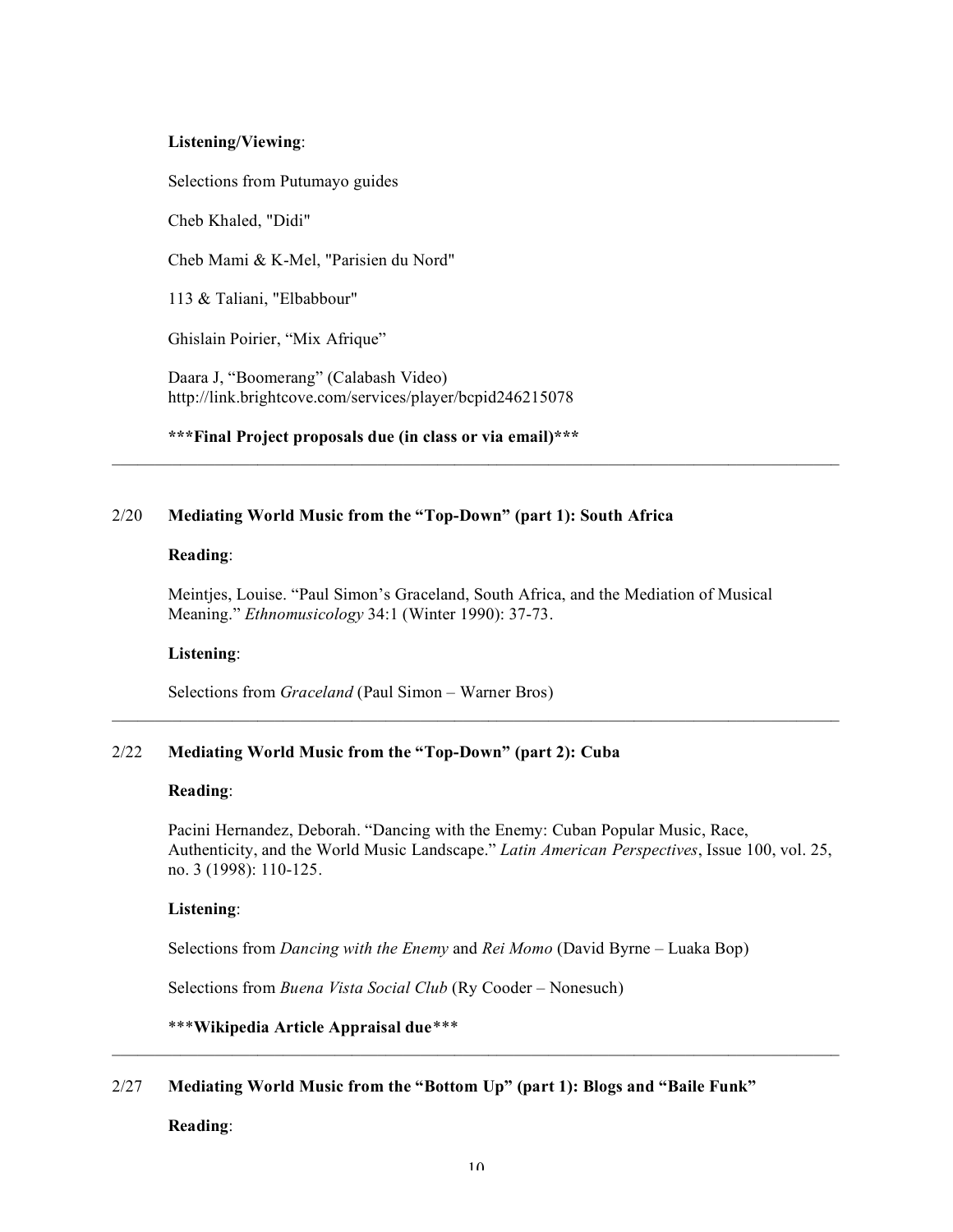### **Listening/Viewing**:

Selections from Putumayo guides

Cheb Khaled, "Didi"

Cheb Mami & K-Mel, "Parisien du Nord"

113 & Taliani, "Elbabbour"

Ghislain Poirier, "Mix Afrique"

Daara J, "Boomerang" (Calabash Video) http://link.brightcove.com/services/player/bcpid246215078

**\*\*\*Final Project proposals due (in class or via email)\*\*\***

# 2/20 **Mediating World Music from the "Top-Down" (part 1): South Africa**

### **Reading**:

Meintjes, Louise. "Paul Simon's Graceland, South Africa, and the Mediation of Musical Meaning." *Ethnomusicology* 34:1 (Winter 1990): 37-73.

 $\mathcal{L}_\text{max} = \mathcal{L}_\text{max} = \mathcal{L}_\text{max} = \mathcal{L}_\text{max} = \mathcal{L}_\text{max} = \mathcal{L}_\text{max} = \mathcal{L}_\text{max} = \mathcal{L}_\text{max} = \mathcal{L}_\text{max} = \mathcal{L}_\text{max} = \mathcal{L}_\text{max} = \mathcal{L}_\text{max} = \mathcal{L}_\text{max} = \mathcal{L}_\text{max} = \mathcal{L}_\text{max} = \mathcal{L}_\text{max} = \mathcal{L}_\text{max} = \mathcal{L}_\text{max} = \mathcal{$ 

 $\mathcal{L}_\mathcal{L} = \{ \mathcal{L}_\mathcal{L} = \{ \mathcal{L}_\mathcal{L} = \{ \mathcal{L}_\mathcal{L} = \{ \mathcal{L}_\mathcal{L} = \{ \mathcal{L}_\mathcal{L} = \{ \mathcal{L}_\mathcal{L} = \{ \mathcal{L}_\mathcal{L} = \{ \mathcal{L}_\mathcal{L} = \{ \mathcal{L}_\mathcal{L} = \{ \mathcal{L}_\mathcal{L} = \{ \mathcal{L}_\mathcal{L} = \{ \mathcal{L}_\mathcal{L} = \{ \mathcal{L}_\mathcal{L} = \{ \mathcal{L}_\mathcal{$ 

# **Listening**:

Selections from *Graceland* (Paul Simon – Warner Bros)

# 2/22 **Mediating World Music from the "Top-Down" (part 2): Cuba**

### **Reading**:

Pacini Hernandez, Deborah. "Dancing with the Enemy: Cuban Popular Music, Race, Authenticity, and the World Music Landscape." *Latin American Perspectives*, Issue 100, vol. 25, no. 3 (1998): 110-125.

### **Listening**:

Selections from *Dancing with the Enemy* and *Rei Momo* (David Byrne – Luaka Bop)

Selections from *Buena Vista Social Club* (Ry Cooder – Nonesuch)

# \*\*\***Wikipedia Article Appraisal due***\*\*\**

# 2/27 **Mediating World Music from the "Bottom Up" (part 1): Blogs and "Baile Funk"**

# **Reading**:

 $\mathcal{L}_\text{max} = \mathcal{L}_\text{max} = \mathcal{L}_\text{max} = \mathcal{L}_\text{max} = \mathcal{L}_\text{max} = \mathcal{L}_\text{max} = \mathcal{L}_\text{max} = \mathcal{L}_\text{max} = \mathcal{L}_\text{max} = \mathcal{L}_\text{max} = \mathcal{L}_\text{max} = \mathcal{L}_\text{max} = \mathcal{L}_\text{max} = \mathcal{L}_\text{max} = \mathcal{L}_\text{max} = \mathcal{L}_\text{max} = \mathcal{L}_\text{max} = \mathcal{L}_\text{max} = \mathcal{$